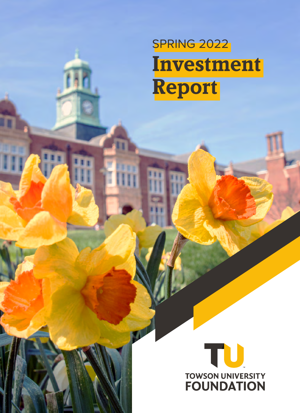# SPRING 2022 **Investment Report**

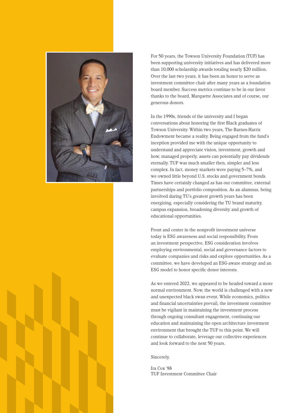

For 50 years, the Towson University Foundation (TUF) has been supporting university initiatives and has delivered more than 10,000 scholarship awards totaling nearly \$20 million. Over the last two years, it has been an honor to serve as investment committee chair after many years as a foundation board member. Success metrics continue to be in our favor thanks to the board, Marquette Associates and of course, our generous donors.

In the 1990s, friends of the university and I began conversations about honoring the first Black graduates of Towson University. Within two years, The Barnes-Harris Endowment became a reality. Being engaged from the fund's inception provided me with the unique opportunity to understand and appreciate vision, investment, growth and how, managed properly, assets can potentially pay dividends eternally. TUF was much smaller then, simpler and less complex. In fact, money markets were paying 5–7%, and we owned little beyond U.S. stocks and government bonds. Times have certainly changed as has our committee, external partnerships and portfolio composition. As an alumnus, being involved during TU's greatest growth years has been energizing, especially considering the TU brand maturity, campus expansion, broadening diversity and growth of educational opportunities.

Front and center in the nonprofit investment universe today is ESG awareness and social responsibility. From an investment perspective, ESG consideration involves employing environmental, social and governance factors to evaluate companies and risks and explore opportunities. As a committee, we have developed an ESG-aware strategy and an ESG model to honor specific donor interests.

As we entered 2022, we appeared to be headed toward a more normal environment. Now, the world is challenged with a new and unexpected black swan event. While economics, politics and financial uncertainties prevail, the investment committee must be vigilant in maintaining the investment process through ongoing consultant engagement, continuing our education and maintaining the open architecture investment environment that brought the TUF to this point. We will continue to collaborate, leverage our collective experiences and look forward to the next 50 years.

Sincerely,

Ira Cox '88 TUF Investment Committee Chair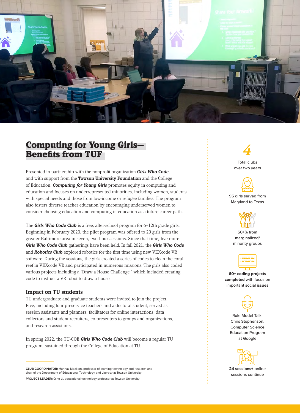

# Computing for Young Girls— Benefits from TUF

Presented in partnership with the nonprofit organization *Girls Who Code*, and with support from the **Towson University Foundation** and the College of Education, *Computing for Young Girls* promotes equity in computing and education and focuses on underrepresented minorities, including women, students with special needs and those from low-income or refugee families. The program also fosters diverse teacher education by encouraging underserved women to consider choosing education and computing in education as a future career path.

The *Girls Who Code Club* is a free, after-school program for 6–12th grade girls. Beginning in February 2020, the pilot program was offered to 20 girls from the greater Baltimore area in seven, two-hour sessions. Since that time, five more *Girls Who Code Club* gatherings have been held. In fall 2021, the *Girls Who Code*  and *Robotics Club* explored robotics for the first time using new VEXcode VR software. During the sessions, the girls created a series of codes to clean the coral reef in VEXcode VR and participated in numerous missions. The girls also coded various projects including a "Draw a House Challenge," which included creating code to instruct a VR robot to draw a house.

## **Impact on TU students**

TU undergraduate and graduate students were invited to join the project. Five, including four preservice teachers and a doctoral student, served as session assistants and planners, facilitators for online interactions, data collectors and student recruiters, co-presenters to groups and organizations, and research assistants.

In spring 2022, the TU-COE *Girls Who Code Club* will become a regular TU program, sustained through the College of Education at TU.

**CLUB COORDINATOR:** Mahnaz Moallem, professor of learning technology and research and chair of the Department of Educational Technology and Literacy at Towson University **PROJECT LEADER:** Qing Li, educational technology professor at Towson University

*4* Total clubs over two years



#### 95 girls served from Maryland to Texas



50+% from marginalized/ minority groups



**60+ coding projects completed** with focus on important social issues



Role Model Talk: Chris Stephenson, Computer Science Education Program at Google



**24 sessions+** online sessions continue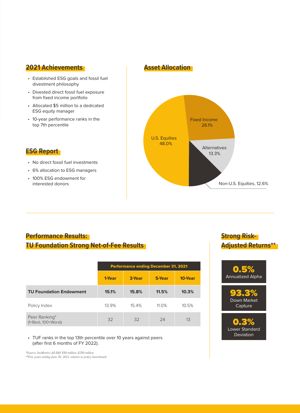## **2021 Achievements**

- Established ESG goals and fossil fuel divestment philosophy
- Divested direct fossil fuel exposure from fixed income portfolio
- Allocated \$5 million to a dedicated ESG equity manager
- 10-year performance ranks in the top 7th percentile

## **ESG Report**

• No direct fossil fuel investments

- 6% allocation to ESG managers
- 100% ESG endowment for interested donors

## **Asset Allocation**



## **Performance Results: TU Foundation Strong Net-of-Fee Results**

|                                        | <b>Performance ending December 31, 2021</b> |        |          |         |  |
|----------------------------------------|---------------------------------------------|--------|----------|---------|--|
|                                        | 1-Year                                      | 3-Year | 5-Year   | 10-Year |  |
| <b>TU Foundation Endowment</b>         | 15.1%                                       | 15.8%  | 11.5%    | 10.3%   |  |
| Policy Index                           | 13.9%                                       | 154%   | $11.0\%$ | 10.5%   |  |
| Peer Ranking*<br>$(1=Best, 100=Worst)$ | 32                                          | 32     | 24       | 13      |  |

• TUF ranks in the top 13th percentile over 10 years against peers (after first 6 months of FY 2022).

*\*Source: InvMetrics All E&F \$50 million–\$250 million \*\*Five years ending June 30, 2021; relative to policy benchmark*

# **Strong Risk-Adjusted Returns\*\***

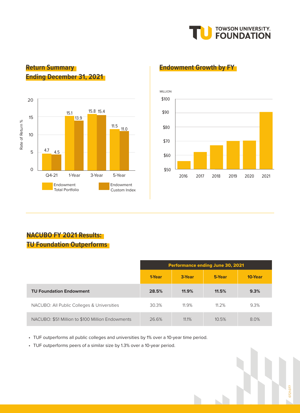

# **Return Summary Ending December 31, 2021**



## **Endowment Growth by FY**



# **NACUBO FY 2021 Results: TU Foundation Outperforms**

|                                                  | <b>Performance ending June 30, 2021</b> |        |        |         |  |
|--------------------------------------------------|-----------------------------------------|--------|--------|---------|--|
|                                                  | 1-Year                                  | 3-Year | 5-Year | 10-Year |  |
| <b>TU Foundation Endowment</b>                   | 28.5%                                   | 11.9%  | 11.5%  | 9.3%    |  |
| NACUBO: All Public Colleges & Universities       | 30.3%                                   | 11.9%  | 11.2%  | 9.3%    |  |
| NACUBO: \$51 Million to \$100 Million Endowments | 26.6%                                   | 11.1%  | 10.5%  | 8.0%    |  |

• TUF outperforms all public colleges and universities by 1% over a 10-year time period.

• TUF outperforms peers of a similar size by 1.3% over a 10-year period.